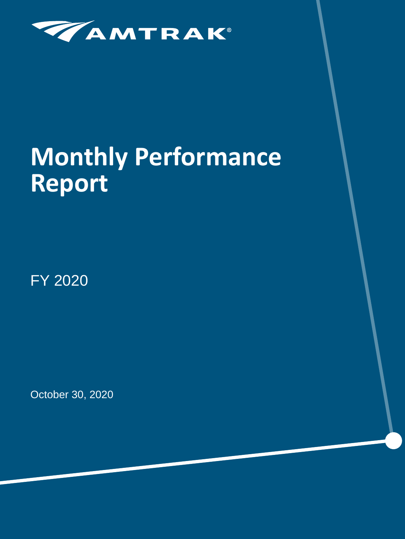

# **Monthly Performance Report**

FY 2020

October 30, 2020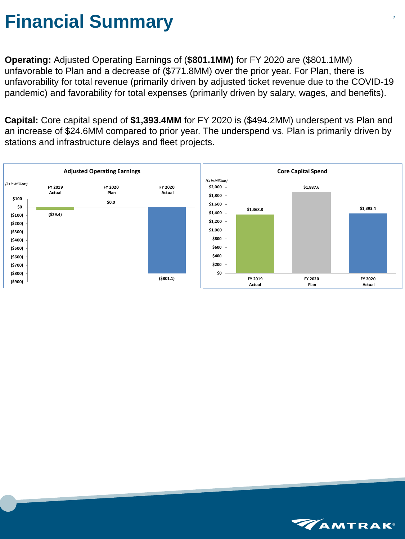## **Financial Summary**

**Operating:** Adjusted Operating Earnings of (**\$801.1MM)** for FY 2020 are (\$801.1MM) unfavorable to Plan and a decrease of (\$771.8MM) over the prior year. For Plan, there is unfavorability for total revenue (primarily driven by adjusted ticket revenue due to the COVID-19 pandemic) and favorability for total expenses (primarily driven by salary, wages, and benefits).

**Capital:** Core capital spend of **\$1,393.4MM** for FY 2020 is (\$494.2MM) underspent vs Plan and an increase of \$24.6MM compared to prior year. The underspend vs. Plan is primarily driven by stations and infrastructure delays and fleet projects.



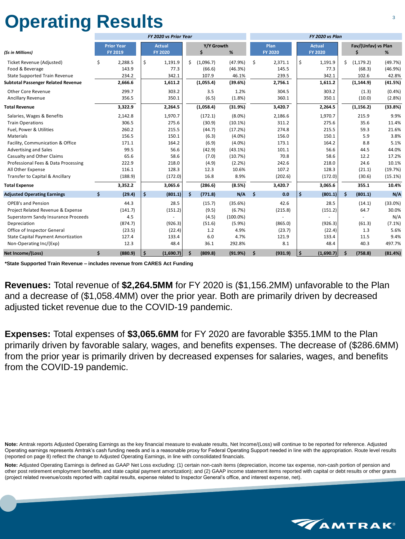## **Operating Results**

|                                              |    |                                     |                     | FY 2020 vs Prior Year           |    |                     | FY 2020 vs Plan    |                     |                        |      |                                 |                                |                      |                    |
|----------------------------------------------|----|-------------------------------------|---------------------|---------------------------------|----|---------------------|--------------------|---------------------|------------------------|------|---------------------------------|--------------------------------|----------------------|--------------------|
| (\$s in Millions)                            |    | <b>Prior Year</b><br><b>FY 2019</b> |                     | <b>Actual</b><br><b>FY 2020</b> |    | Y/Y Growth<br>\$    | %                  |                     | Plan<br><b>FY 2020</b> |      | <b>Actual</b><br><b>FY 2020</b> | Fav/(Unfav) vs Plan<br>\$<br>% |                      |                    |
|                                              |    |                                     | \$                  |                                 | Ś. |                     |                    | \$                  |                        | \$   |                                 | Ś.                             |                      |                    |
| Ticket Revenue (Adjusted)<br>Food & Beverage | \$ | 2,288.5<br>143.9                    |                     | 1,191.9<br>77.3                 |    | (1,096.7)<br>(66.6) | (47.9%)<br>(46.3%) |                     | 2,371.1<br>145.5       |      | 1,191.9<br>77.3                 |                                | (1, 179.2)<br>(68.3) | (49.7%)<br>(46.9%) |
| <b>State Supported Train Revenue</b>         |    | 234.2                               |                     | 342.1                           |    | 107.9               | 46.1%              |                     | 239.5                  |      | 342.1                           |                                | 102.6                | 42.8%              |
| <b>Subtotal Passenger Related Revenue</b>    |    | 2,666.6                             |                     | 1,611.2                         |    | (1,055.4)           | (39.6%)            |                     | 2,756.1                |      | 1,611.2                         |                                | (1, 144.9)           | (41.5%)            |
| <b>Other Core Revenue</b>                    |    | 299.7                               |                     | 303.2                           |    | 3.5                 | 1.2%               |                     | 304.5                  |      | 303.2                           |                                | (1.3)                | (0.4% )            |
| <b>Ancillary Revenue</b>                     |    | 356.5                               |                     | 350.1                           |    | (6.5)               | (1.8%)             |                     | 360.1                  |      | 350.1                           |                                | (10.0)               | (2.8%)             |
| <b>Total Revenue</b>                         |    | 3,322.9                             |                     | 2,264.5                         |    | (1,058.4)           | (31.9%)            |                     | 3,420.7                |      | 2,264.5                         |                                | (1, 156.2)           | (33.8%)            |
| Salaries, Wages & Benefits                   |    | 2,142.8                             |                     | 1,970.7                         |    | (172.1)             | $(8.0\%)$          |                     | 2,186.6                |      | 1,970.7                         |                                | 215.9                | 9.9%               |
| <b>Train Operations</b>                      |    | 306.5                               |                     | 275.6                           |    | (30.9)              | (10.1%)            |                     | 311.2                  |      | 275.6                           |                                | 35.6                 | 11.4%              |
| Fuel, Power & Utilities                      |    | 260.2                               |                     | 215.5                           |    | (44.7)              | (17.2%)            |                     | 274.8                  |      | 215.5                           |                                | 59.3                 | 21.6%              |
| Materials                                    |    | 156.5                               |                     | 150.1                           |    | (6.3)               | $(4.0\%)$          |                     | 156.0                  |      | 150.1                           |                                | 5.9                  | 3.8%               |
| Facility, Communication & Office             |    | 171.1                               |                     | 164.2                           |    | (6.9)               | $(4.0\%)$          |                     | 173.1                  |      | 164.2                           |                                | 8.8                  | 5.1%               |
| <b>Advertising and Sales</b>                 |    | 99.5                                |                     | 56.6                            |    | (42.9)              | (43.1%)            |                     | 101.1                  |      | 56.6                            |                                | 44.5                 | 44.0%              |
| <b>Casualty and Other Claims</b>             |    | 65.6                                |                     | 58.6                            |    | (7.0)               | (10.7%)            |                     | 70.8                   |      | 58.6                            |                                | 12.2                 | 17.2%              |
| Professional Fees & Data Processing          |    | 222.9                               |                     | 218.0                           |    | (4.9)               | (2.2%)             |                     | 242.6                  |      | 218.0                           |                                | 24.6                 | 10.1%              |
| All Other Expense                            |    | 116.1                               |                     | 128.3                           |    | 12.3                | 10.6%              |                     | 107.2                  |      | 128.3                           |                                | (21.1)               | (19.7%)            |
| Transfer to Capital & Ancillary              |    | (188.9)                             |                     | (172.0)                         |    | 16.8                | 8.9%               |                     | (202.6)                |      | (172.0)                         |                                | (30.6)               | (15.1%)            |
| <b>Total Expense</b>                         |    | 3,352.2                             |                     | 3,065.6                         |    | (286.6)             | (8.5%)             |                     | 3,420.7                |      | 3,065.6                         |                                | 355.1                | 10.4%              |
| <b>Adjusted Operating Earnings</b>           | \$ | (29.4)                              | \$                  | (801.1)                         | Ŝ. | (771.8)             | N/A                | $\ddot{\bm{\zeta}}$ | 0.0                    | \$   | (801.1)                         | \$                             | (801.1)              | N/A                |
| <b>OPEB's and Pension</b>                    |    | 44.3                                |                     | 28.5                            |    | (15.7)              | (35.6%)            |                     | 42.6                   |      | 28.5                            |                                | (14.1)               | (33.0%)            |
| Project Related Revenue & Expense            |    | (141.7)                             |                     | (151.2)                         |    | (9.5)               | (6.7%)             |                     | (215.8)                |      | (151.2)                         |                                | 64.7                 | 30.0%              |
| Superstorm Sandy Insurance Proceeds          |    | 4.5                                 |                     |                                 |    | (4.5)               | $(100.0\%)$        |                     |                        |      |                                 |                                |                      | N/A                |
| Depreciation                                 |    | (874.7)                             |                     | (926.3)                         |    | (51.6)              | (5.9%)             |                     | (865.0)                |      | (926.3)                         |                                | (61.3)               | (7.1%)             |
| Office of Inspector General                  |    | (23.5)                              |                     | (22.4)                          |    | 1.2                 | 4.9%               |                     | (23.7)                 |      | (22.4)                          |                                | 1.3                  | 5.6%               |
| <b>State Capital Payment Amortization</b>    |    | 127.4                               |                     | 133.4                           |    | 6.0                 | 4.7%               |                     | 121.9                  |      | 133.4                           |                                | 11.5                 | 9.4%               |
| Non-Operating Inc/(Exp)                      |    | 12.3                                |                     | 48.4                            |    | 36.1                | 292.8%             |                     | 8.1                    |      | 48.4                            |                                | 40.3                 | 497.7%             |
| Net Income/(Loss)                            | \$ | (880.9)                             | $\ddot{\bm{\zeta}}$ | (1,690.7)                       |    | (809.8)             | (91.9%)            | \$                  | (931.9)                | \$ ا | (1,690.7)                       | Ŝ.                             | (758.8)              | (81.4%)            |

**\*State Supported Train Revenue – includes revenue from CARES Act Funding**

**Revenues:** Total revenue of **\$2,264.5MM** for FY 2020 is (\$1,156.2MM) unfavorable to the Plan and a decrease of (\$1,058.4MM) over the prior year. Both are primarily driven by decreased adjusted ticket revenue due to the COVID-19 pandemic.

**Expenses:** Total expenses of **\$3,065.6MM** for FY 2020 are favorable \$355.1MM to the Plan primarily driven by favorable salary, wages, and benefits expenses. The decrease of (\$286.6MM) from the prior year is primarily driven by decreased expenses for salaries, wages, and benefits from the COVID-19 pandemic.

**Note:** Amtrak reports Adjusted Operating Earnings as the key financial measure to evaluate results, Net Income/(Loss) will continue to be reported for reference. Adjusted Operating earnings represents Amtrak's cash funding needs and is a reasonable proxy for Federal Operating Support needed in line with the appropriation. Route level results (reported on page 8) reflect the change to Adjusted Operating Earnings, in line with consolidated financials.

**Note:** Adjusted Operating Earnings is defined as GAAP Net Loss excluding: (1) certain non-cash items (depreciation, income tax expense, non-cash portion of pension and other post retirement employment benefits, and state capital payment amortization); and (2) GAAP income statement items reported with capital or debt results or other grants (project related revenue/costs reported with capital results, expense related to Inspector General's office, and interest expense, net).

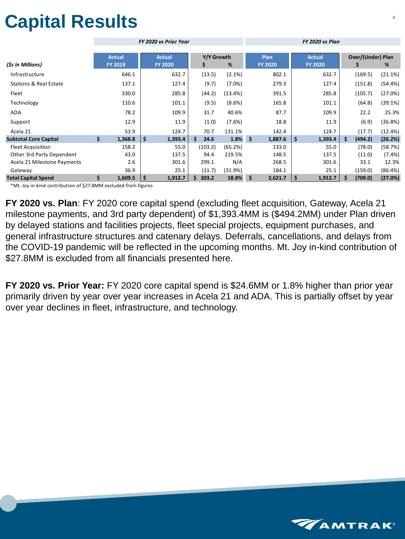# **Capital Results**

|                                   |    |                |                    | FY 2020 vs Prior Year |             |           |               | FY 2020 vs Plan |    |                |                          |         |           |  |  |
|-----------------------------------|----|----------------|--------------------|-----------------------|-------------|-----------|---------------|-----------------|----|----------------|--------------------------|---------|-----------|--|--|
|                                   |    |                |                    |                       |             |           |               |                 |    |                |                          |         |           |  |  |
|                                   |    | <b>Actual</b>  |                    | <b>Actual</b>         | Y/Y Growth  |           |               | Plan            |    | <b>Actual</b>  | <b>Over/(Under) Plan</b> |         |           |  |  |
| (\$s in Millions)                 |    | <b>FY 2019</b> |                    | <b>FY 2020</b>        | Ş           | $\%$      |               | <b>FY 2020</b>  |    | <b>FY 2020</b> |                          | Ş       | %         |  |  |
| Infrastructure                    |    | 646.1          |                    | 632.7                 | (13.5)      | $(2.1\%)$ |               | 802.1           |    | 632.7          |                          | (169.5) | (21.1%)   |  |  |
| <b>Stations &amp; Real Estate</b> |    | 137.1          |                    | 127.4                 | (9.7)       | $(7.0\%)$ |               | 279.3           |    | 127.4          |                          | (151.8) | (54.4%)   |  |  |
| Fleet                             |    | 330.0          |                    | 285.8                 | (44.2)      | (13.4%)   |               | 391.5           |    | 285.8          |                          | (105.7) | (27.0%)   |  |  |
| Technology                        |    | 110.6          |                    | 101.1                 | (9.5)       | $(8.6\%)$ |               | 165.8           |    | 101.1          |                          | (64.8)  | (39.1%)   |  |  |
| ADA                               |    | 78.2           |                    | 109.9                 | 31.7        | 40.6%     |               | 87.7            |    | 109.9          |                          | 22.2    | 25.3%     |  |  |
| Support                           |    | 12.9           |                    | 11.9                  | (1.0)       | (7.6%)    |               | 18.8            |    | 11.9           |                          | (6.9)   | (36.8%)   |  |  |
| Acela 21                          |    | 53.9           |                    | 124.7                 | 70.7        | 131.1%    |               | 142.4           |    | 124.7          |                          | (17.7)  | (12.4%)   |  |  |
| <b>Subtotal Core Capital</b>      | \$ | 1,368.8        | $\dot{\mathsf{S}}$ | 1,393.4               | Ś.<br>24.6  | 1.8%      | $\frac{1}{2}$ | 1,887.6         | \$ | 1,393.4        | \$                       | (494.2) | (26.2%)   |  |  |
| <b>Fleet Acquisition</b>          |    | 158.2          |                    | 55.0                  | (103.2)     | (65.2%)   |               | 133.0           |    | 55.0           |                          | (78.0)  | (58.7%)   |  |  |
| Other 3rd Party Dependent         |    | 43.0           |                    | 137.5                 | 94.4        | 219.5%    |               | 148.5           |    | 137.5          |                          | (11.0)  | $(7.4\%)$ |  |  |
| Acela 21 Milestone Payments       |    | 2.6            |                    | 301.6                 | 299.1       | N/A       |               | 268.5           |    | 301.6          |                          | 33.1    | 12.3%     |  |  |
| Gateway                           |    | 36.9           |                    | 25.1                  | (11.7)      | (31.9%)   |               | 184.1           |    | 25.1           |                          | (159.0) | (86.4%)   |  |  |
| <b>Total Capital Spend</b>        | \$ | 1,609.5        | \$                 | 1,912.7               | 303.2<br>\$ | 18.8%     | \$            | 2,621.7         | \$ | 1,912.7        | \$                       | (709.0) | (27.0%)   |  |  |

\*Mt. Joy in-kind contribution of \$27.8MM excluded from figures

**FY 2020 vs. Plan**: FY 2020 core capital spend (excluding fleet acquisition, Gateway, Acela 21 milestone payments, and 3rd party dependent) of \$1,393.4MM is (\$494.2MM) under Plan driven by delayed stations and facilities projects, fleet special projects, equipment purchases, and general infrastructure structures and catenary delays. Deferrals, cancellations, and delays from the COVID-19 pandemic will be reflected in the upcoming months. Mt. Joy in-kind contribution of \$27.8MM is excluded from all financials presented here.

**FY 2020 vs. Prior Year:** FY 2020 core capital spend is \$24.6MM or 1.8% higher than prior year primarily driven by year over year increases in Acela 21 and ADA. This is partially offset by year over year declines in fleet, infrastructure, and technology.

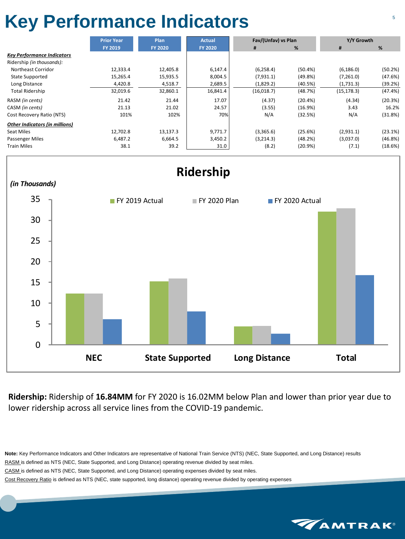## **Key Performance Indicators** <sup>5</sup>

|                                       | <b>Prior Year</b> | <b>Plan</b>    | <b>Actual</b>  | Fav/(Unfav) vs Plan |         | Y/Y Growth  |         |  |
|---------------------------------------|-------------------|----------------|----------------|---------------------|---------|-------------|---------|--|
|                                       | <b>FY 2019</b>    | <b>FY 2020</b> | <b>FY 2020</b> | #                   | %       | #           | %       |  |
| <b>Key Performance Indicators</b>     |                   |                |                |                     |         |             |         |  |
| Ridership (in thousands):             |                   |                |                |                     |         |             |         |  |
| Northeast Corridor                    | 12,333.4          | 12,405.8       | 6,147.4        | (6, 258.4)          | (50.4%) | (6, 186.0)  | (50.2%) |  |
| <b>State Supported</b>                | 15,265.4          | 15,935.5       | 8,004.5        | (7,931.1)           | (49.8%) | (7,261.0)   | (47.6%) |  |
| Long Distance                         | 4,420.8           | 4,518.7        | 2,689.5        | (1,829.2)           | (40.5%) | (1,731.3)   | (39.2%) |  |
| <b>Total Ridership</b>                | 32,019.6          | 32,860.1       | 16,841.4       | (16,018.7)          | (48.7%) | (15, 178.3) | (47.4%) |  |
| RASM (in cents)                       | 21.42             | 21.44          | 17.07          | (4.37)              | (20.4%) | (4.34)      | (20.3%) |  |
| CASM (in cents)                       | 21.13             | 21.02          | 24.57          | (3.55)              | (16.9%) | 3.43        | 16.2%   |  |
| Cost Recovery Ratio (NTS)             | 101%              | 102%           | 70%            | N/A                 | (32.5%) | N/A         | (31.8%) |  |
| <b>Other Indicators (in millions)</b> |                   |                |                |                     |         |             |         |  |
| Seat Miles                            | 12,702.8          | 13,137.3       | 9,771.7        | (3,365.6)           | (25.6%) | (2,931.1)   | (23.1%) |  |
| Passenger Miles                       | 6,487.2           | 6,664.5        | 3,450.2        | (3,214.3)           | (48.2%) | (3,037.0)   | (46.8%) |  |
| Train Miles                           | 38.1              | 39.2           | 31.0           | (8.2)               | (20.9%) | (7.1)       | (18.6%) |  |



**Ridership:** Ridership of **16.84MM** for FY 2020 is 16.02MM below Plan and lower than prior year due to lower ridership across all service lines from the COVID-19 pandemic.

**Note:** Key Performance Indicators and Other Indicators are representative of National Train Service (NTS) (NEC, State Supported, and Long Distance) results RASM is defined as NTS (NEC, State Supported, and Long Distance) operating revenue divided by seat miles. CASM is defined as NTS (NEC, State Supported, and Long Distance) operating expenses divided by seat miles. Cost Recovery Ratio is defined as NTS (NEC, state supported, long distance) operating revenue divided by operating expenses

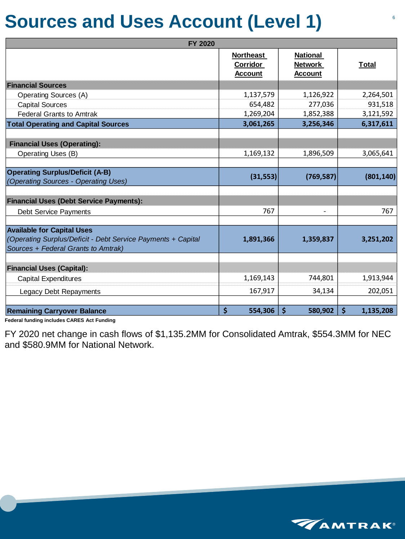### **Sources and Uses Account (Level 1)**

| <b>FY 2020</b>                                                                                                                           |                                                       |                                                     |                          |
|------------------------------------------------------------------------------------------------------------------------------------------|-------------------------------------------------------|-----------------------------------------------------|--------------------------|
|                                                                                                                                          | <b>Northeast</b><br><b>Corridor</b><br><b>Account</b> | <b>National</b><br><b>Network</b><br><u>Account</u> | <u>Total</u>             |
| <b>Financial Sources</b>                                                                                                                 |                                                       |                                                     |                          |
| <b>Operating Sources (A)</b>                                                                                                             | 1,137,579                                             | 1,126,922                                           | 2,264,501                |
| <b>Capital Sources</b>                                                                                                                   | 654,482                                               | 277,036                                             | 931,518                  |
| <b>Federal Grants to Amtrak</b>                                                                                                          | 1,269,204                                             | 1,852,388                                           | 3,121,592                |
| <b>Total Operating and Capital Sources</b>                                                                                               | 3,061,265                                             | 3,256,346                                           | 6,317,611                |
| <b>Financial Uses (Operating):</b>                                                                                                       |                                                       |                                                     |                          |
| <b>Operating Uses (B)</b>                                                                                                                | 1,169,132                                             | 1,896,509                                           | 3,065,641                |
|                                                                                                                                          |                                                       |                                                     |                          |
| <b>Operating Surplus/Deficit (A-B)</b><br>(Operating Sources - Operating Uses)                                                           | (31, 553)                                             | (769, 587)                                          | (801, 140)               |
|                                                                                                                                          |                                                       |                                                     |                          |
| <b>Financial Uses (Debt Service Payments):</b>                                                                                           |                                                       |                                                     |                          |
| <b>Debt Service Payments</b>                                                                                                             | 767                                                   |                                                     | 767                      |
|                                                                                                                                          |                                                       |                                                     |                          |
| <b>Available for Capital Uses</b><br>(Operating Surplus/Deficit - Debt Service Payments + Capital<br>Sources + Federal Grants to Amtrak) | 1,891,366                                             | 1,359,837                                           | 3,251,202                |
|                                                                                                                                          |                                                       |                                                     |                          |
| <b>Financial Uses (Capital):</b>                                                                                                         |                                                       |                                                     |                          |
| <b>Capital Expenditures</b>                                                                                                              | 1,169,143                                             | 744,801                                             | 1,913,944                |
| <b>Legacy Debt Repayments</b>                                                                                                            | 167,917                                               | 34,134                                              | 202,051                  |
|                                                                                                                                          |                                                       |                                                     |                          |
| <b>Remaining Carryover Balance</b>                                                                                                       | $\boldsymbol{\zeta}$<br>554,306                       | $\zeta$<br>580,902                                  | $\varsigma$<br>1,135,208 |

**Federal funding includes CARES Act Funding**

FY 2020 net change in cash flows of \$1,135.2MM for Consolidated Amtrak, \$554.3MM for NEC and \$580.9MM for National Network.

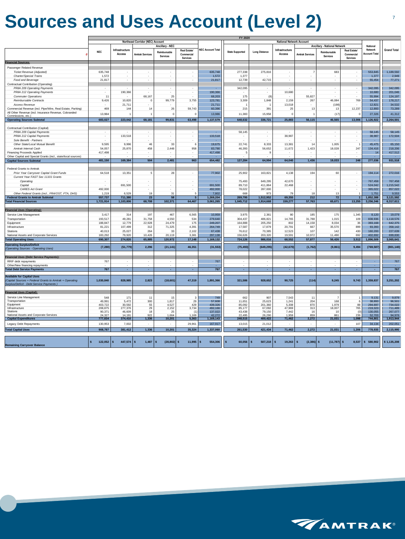## **Sources and Uses Account (Level 2)**

|                                                               |                          |                          |                                  |                          |                             |                          | FY 2020                |                          |                                 |                          |                                     |                          |                      |                    |
|---------------------------------------------------------------|--------------------------|--------------------------|----------------------------------|--------------------------|-----------------------------|--------------------------|------------------------|--------------------------|---------------------------------|--------------------------|-------------------------------------|--------------------------|----------------------|--------------------|
|                                                               |                          |                          | Northeast Corridor (NEC) Account |                          |                             |                          |                        |                          | <b>National Network Account</b> |                          |                                     |                          |                      |                    |
|                                                               |                          |                          |                                  |                          |                             |                          |                        |                          |                                 |                          |                                     |                          |                      |                    |
|                                                               |                          |                          |                                  | Ancillary - NEC          |                             |                          |                        |                          |                                 |                          | <b>Ancillary - National Network</b> |                          | National             |                    |
|                                                               | <b>NEC</b>               | Infrastructure           |                                  |                          | Real Estate/                | <b>NEC Account Total</b> |                        | <b>Long Distance</b>     | Infrastructure                  |                          |                                     | Real Estate/             | Network              | <b>Grand Total</b> |
|                                                               |                          | Access                   | <b>Amtrak Services</b>           | Reimbursable             | Commercial                  |                          | <b>State Supported</b> |                          | Access                          | <b>Amtrak Services</b>   | Reimbursable                        | Commercial               | <b>Account Total</b> |                    |
|                                                               |                          |                          |                                  | <b>Services</b>          | <b>Services</b>             |                          |                        |                          |                                 |                          | Services                            | Services                 |                      |                    |
| <b>Financial Sources:</b>                                     |                          |                          |                                  |                          |                             |                          |                        |                          |                                 |                          |                                     |                          |                      |                    |
|                                                               |                          |                          |                                  |                          |                             |                          |                        |                          |                                 |                          |                                     |                          |                      |                    |
| Passenger Related Revenue                                     |                          |                          |                                  |                          |                             |                          |                        |                          |                                 |                          |                                     |                          |                      |                    |
| Ticket Revenue (Adjusted)                                     | 635,748                  | $\sim$                   | $\sim$                           | $\sim$                   | $\sim$                      | 635,748                  | 277,338                | 275,816                  | $\sim$                          |                          | 683                                 | $\sim$                   | 553,845              | 1,189,592          |
|                                                               |                          |                          |                                  |                          |                             |                          |                        |                          |                                 |                          |                                     |                          |                      |                    |
| Charter/Special Trains                                        | 1,572                    | $\sim$                   | $\sim$                           | $\overline{\phantom{a}}$ | $\blacksquare$              | 1,572                    | 1,377                  |                          | $\sim$                          |                          | ٠                                   | $\overline{\phantom{a}}$ | 1,377                | 2,949              |
| Food and Beverage                                             | 21,817                   | $\overline{\phantom{a}}$ | $\overline{\phantom{a}}$         | $\overline{\phantom{a}}$ | $\overline{\phantom{a}}$    | 21,817                   | 12,739                 | 42,715                   | $\overline{\phantom{a}}$        |                          | $\sim$                              | $\overline{\phantom{a}}$ | 55,454               | 77,271             |
| Contractual Contribution (Operating)                          |                          |                          |                                  |                          |                             |                          |                        |                          |                                 |                          |                                     |                          |                      |                    |
| PRIIA 209 Operating Payments                                  |                          |                          |                                  | ٠                        | $\overline{\phantom{a}}$    |                          | 342,095                |                          |                                 |                          | $\overline{\phantom{a}}$            | $\overline{\phantom{a}}$ | 342,095              | 342,095            |
| PRIIA 212 Operating Payments                                  |                          |                          |                                  |                          |                             |                          |                        |                          |                                 |                          |                                     |                          | 10,680               |                    |
|                                                               |                          | 190,366                  |                                  |                          | $\overline{\phantom{a}}$    | 190,366                  |                        | $\cdot$                  | 10,680                          |                          | $\sim$                              | $\overline{\phantom{a}}$ |                      | 201,046            |
| <b>Commuter Operations</b>                                    | 11                       |                          | 68,167                           | 25                       | $\sim$                      | 68,203                   | 175                    | (8)                      | ۰.                              | 55,827                   | $\sim$                              | $\overline{\phantom{a}}$ | 55,994               | 124,197            |
| Reimbursable Contracts                                        | 9,426                    | 10,820                   | $\mathbf 0$                      | 99,779                   | 3,755                       | 123,781                  | 3,309                  | 1,848                    | 2,159                           | 267                      | 46,084                              | 769                      | 54,437               | 178,217            |
| <b>Access Revenue</b>                                         |                          | 21,711                   |                                  |                          | $\overline{\phantom{a}}$    | 21,711                   |                        |                          | 13,018                          |                          | (198)                               | $\overline{\phantom{a}}$ | 12,821               | 34,532             |
| Commercial Revenue (incl. Pipe/Wire, Real Estate, Parking)    | 469                      | 144                      | 14                               | 26                       | 59,743                      | 60,396                   | 215                    | 391                      | 25                              | 13                       | 13                                  | 12,237                   | 12,893               | 73,289             |
| All Other Revenue (incl. Insurance Revenue, Cobranded         |                          |                          |                                  |                          |                             |                          |                        |                          |                                 |                          |                                     |                          |                      |                    |
| Commissions, etc.)                                            | 13,984                   | f.                       | $\overline{1}$                   | $\Omega$                 | $\overline{0}$              | 13,986                   | 11,383                 | 15,958                   | $\mathbf 0$                     |                          | (17)                                | $\mathbf 0$              | 27,326               | 41,312             |
|                                                               |                          | 223,042                  |                                  |                          |                             |                          | 648,632                |                          | 25,883                          | 56,115                   |                                     |                          | 1,126,922            | 2,264,501          |
| <b>Operating Sources Subtotal</b>                             | 683,027                  |                          | 68,181                           | 99,831                   | 63,498                      | 1,137,579                |                        | 336,721                  |                                 |                          | 46,565                              | 13,006                   |                      |                    |
|                                                               |                          |                          |                                  |                          |                             |                          |                        |                          |                                 |                          |                                     |                          |                      |                    |
| Contractual Contribution (Capital)                            |                          |                          |                                  |                          |                             |                          |                        |                          |                                 |                          |                                     |                          |                      |                    |
| PRIIA 209 Capital Payments                                    |                          |                          |                                  |                          |                             |                          | 58,145                 |                          |                                 |                          |                                     | $\overline{\phantom{a}}$ | 58,145               | 58,145             |
| PRIIA 212 Capital Payments                                    |                          | 133,518                  | ٠                                | $\sim$                   | $\sim$                      | 133,518                  |                        | $\overline{\phantom{a}}$ | 38,987                          | $\overline{\phantom{a}}$ | $\sim$                              | $\sim$                   | 38,987               | 172,504            |
|                                                               | $\sim$                   |                          |                                  |                          |                             |                          | $\sim$                 |                          |                                 |                          |                                     |                          |                      |                    |
| Sole Benefit - Partners                                       | $\sim$                   |                          | $\sim$                           | $\sim$                   | $\sim$                      |                          | $\sim$                 | $\overline{\phantom{a}}$ |                                 | $\overline{\phantom{a}}$ | $\sim$                              | $\sim$                   | $\sim$               | $\sim$             |
| Other State/Local Mutual Benefit                              | 9,595                    | 9,996                    | 46                               | 33                       | 6                           | 19,675                   | 22,741                 | 8,333                    | 13,381                          | 14                       | 1,005                               | -1                       | 45,475               | 65,150             |
| Amtrak Internal Cash                                          | 54,057                   | 25,870                   | 458                              | 2,448                    | 958                         | 83,790                   | 46,393                 | 56,652                   | 11,672                          | 1,423                    | 18,028                              | 247                      | 134,416              | 218,206            |
| <b>Financing Proceeds Applied</b>                             | 417,498                  | $\overline{\phantom{a}}$ | $\sim$                           | ٠                        | $\sim$                      | 417,498                  | -5                     | 9                        |                                 | $\sim$                   | $\sim$                              | $\sim$                   | 14                   | 417,512            |
| Other Capital and Special Grants (incl., state/local sources) |                          | $\overline{\phantom{a}}$ | $\overline{\phantom{a}}$         | $\sim$                   | $\overline{\phantom{a}}$    |                          | $\sim$                 | $\sim$                   | $\overline{\phantom{a}}$        | $\overline{\phantom{a}}$ | $\sim$                              | $\overline{\phantom{a}}$ | $\sim$               | - 1                |
|                                                               | 481,150                  | 169,384                  | 504                              | 2,481                    | 963                         | 654,482                  | 127,284                | 64,994                   | 64,040                          | 1,436                    | 19,033                              | 248                      | 277,036              | 931,518            |
| <b>Capital Sources Subtotal</b>                               |                          |                          |                                  |                          |                             |                          |                        |                          |                                 |                          |                                     |                          |                      |                    |
|                                                               |                          |                          |                                  |                          |                             |                          |                        |                          |                                 |                          |                                     |                          |                      |                    |
| Federal Grants to Amtrak                                      |                          |                          |                                  |                          |                             |                          |                        |                          |                                 |                          |                                     |                          |                      |                    |
| Prior Year Carryover Capital Grant Funds                      | 64,518                   | 13,351                   | 5                                | 28                       | $\sim$                      | 77,902                   | 25,902                 | 163,821                  | 4,138                           | 194                      | 60                                  | $\overline{\phantom{a}}$ | 194,114              | 272,016            |
| Current Year FAST Sec 11101 Grants                            |                          |                          |                                  |                          |                             |                          |                        |                          |                                 |                          |                                     |                          |                      |                    |
| Operating                                                     |                          | $\overline{\phantom{a}}$ | $\overline{\phantom{a}}$         | $\overline{\phantom{a}}$ | $\overline{\phantom{a}}$    |                          | 75,493                 | 649,295                  | 42,670                          | $\sim$                   | $\sim$                              | $\overline{\phantom{a}}$ | 767,458              | 767,458            |
|                                                               |                          |                          |                                  |                          |                             |                          |                        |                          |                                 |                          |                                     |                          |                      |                    |
| Capital                                                       | $\overline{\phantom{a}}$ | 691,500                  | $\sim$                           | $\sim$                   | $\sim$                      | 691,500                  | 89,710                 | 411,864                  | 22,468                          | $\overline{\phantom{a}}$ | $\sim$                              | $\overline{\phantom{a}}$ | 524,042              | 1,215,542          |
| <b>CARES Act Grant</b>                                        | 492,000                  |                          | $\sim$                           | $\sim$                   | $\sim$                      | 492,000                  | 78,022                 | 287,000                  |                                 | $\sim$                   | $\sim$                              | $\overline{\phantom{a}}$ | 365,022              | 857,022            |
| Other Federal Grants (incl., FRA/OST, FTA, DHS)               | 1,219                    | 6,529                    | 19                               | 31                       | 5                           | 7,802                    | 668                    | 973                      | 79                              | 18                       | 13                                  | -1                       | 1,751                | 9,553              |
| <b>Federal Grants to Amtrak Subtotal</b>                      | 557,737                  | 711,380                  | 23                               | 58                       | 5 <sup>1</sup>              | 1,269,204                | 269,795                | 1,512,952                | 69,355                          | 212                      | 72                                  | 1                        | 1,852,388            | 3,121,592          |
| <b>Total Financial Sources</b>                                | 1,721,914                | 1,103,806                | 68,708                           | 102,371                  | 64,467                      | 3,061,265                | 1,045,712              | 1,914,668                | 159,277                         | 57,763                   | 65,671                              | 13,255                   | 3,256,346            | 6,317,611          |
|                                                               |                          |                          |                                  |                          |                             |                          |                        |                          |                                 |                          |                                     |                          |                      |                    |
|                                                               |                          |                          |                                  |                          |                             |                          |                        |                          |                                 |                          |                                     |                          |                      |                    |
| <b>Financial Uses (Operating):</b>                            |                          |                          |                                  |                          |                             |                          |                        |                          |                                 |                          |                                     |                          |                      |                    |
| Service Line Management                                       | 3,417                    | 314                      | 197                              | 467                      | 6,565                       | 10,959                   | 3,975                  | 2,361                    | 80                              | 185                      | 175                                 | 1,345                    | 8,120                | 19,079             |
| Transportation                                                | 193,517                  | 49,281                   | 31,758                           | 4,550                    | 534                         | 279,640                  | 304,437                | 486,821                  | 14,765                          | 31,788                   | 1,015                               | 109                      | 838,936              | 1,118,576          |
| Equipment                                                     | 188,847                  | 12,779                   | 22,928                           | 24,479                   | 175                         | 249,207                  | 164,888                | 205,250                  | 802                             | 14,158                   | 8,034                               | 36                       | 393,168              | 642,375            |
| Infrastructure                                                |                          | 107,499                  | 312                              | 71,325                   | 4,391                       | 264,749                  | 17,587                 | 17,879                   | 20,791                          | 667                      | 35,570                              | 899                      | 93,393               | 358,142            |
|                                                               | 81,221                   |                          |                                  |                          |                             |                          |                        |                          |                                 |                          |                                     |                          |                      |                    |
| Stations                                                      | 40,013                   | 25,027                   | 264                              | 33                       | 2,102                       | 67,438                   | 76,612                 | 70,385                   | 12,523                          | 107                      | 142                                 | 430                      | 160,200              | 227,639            |
| National Assets and Corporate Services                        | 183,292                  | 79,920                   | 10,426                           | 20,119                   | 3,381                       | 297,138                  | 156,626                | 203,320                  | 19,591                          | 10,972                   | 11,490                              | 692                      | 402,692              | 699,830            |
| <b>Total Operating Uses</b>                                   | 690,307                  | 274,820                  | 65,885                           | 120,972                  | 17,148                      | 1,169,132                | 724,126                | 986,016                  | 68,552                          | 57,877                   | 56,426                              | 3,512                    | 1,896,509            | 3,065,641          |
|                                                               |                          |                          |                                  |                          |                             |                          |                        |                          |                                 |                          |                                     |                          |                      |                    |
| <b>Operating Surplus/Deficit</b>                              | (7, 280)                 | (51, 779)                | 2,296                            | (21, 141)                | 46,351                      | (31, 553)                | (75, 493)              | (649, 295)               | (42, 670)                       | (1, 762)                 | (9,861)                             | 9,494                    | (769, 587)           | (801, 140)         |
| (Operating Sources - Operating Uses)                          |                          |                          |                                  |                          |                             |                          |                        |                          |                                 |                          |                                     |                          |                      |                    |
|                                                               |                          |                          |                                  |                          |                             |                          |                        |                          |                                 |                          |                                     |                          |                      |                    |
| <b>Financial Uses (Debt Service Payments):</b>                |                          |                          |                                  |                          |                             |                          |                        |                          |                                 |                          |                                     |                          |                      |                    |
| RRIF debt repayments                                          | 767                      |                          | $\sim$                           | $\sim$                   | $\sim$                      | 767                      |                        |                          | $\overline{\phantom{a}}$        |                          | $\sim$                              | $\overline{\phantom{a}}$ | ٠                    | 767                |
| Other/New financing repayments                                |                          |                          | $\sim$                           | $\sim$                   | $\sim$                      |                          | $\sim$                 | $\sim$                   | $\sim$                          |                          | $\sim$                              | $\sim$                   |                      | х.                 |
|                                                               | 767                      | $\sim$                   | $\sim$                           | $\sim$                   | $\mathcal{L}_{\mathcal{A}}$ | 767                      | $\sim$                 | $\sim$                   | $\sim$                          | $\sim$                   | $\sim$                              | $\sim$                   | $\sim$               | 767                |
| <b>Total Debt Service Payments</b>                            |                          |                          |                                  |                          |                             |                          |                        |                          |                                 |                          |                                     |                          |                      |                    |
| <b>Available for Capital Uses</b>                             |                          |                          |                                  |                          |                             |                          |                        |                          |                                 |                          |                                     |                          |                      |                    |
|                                                               |                          |                          |                                  |                          |                             |                          |                        |                          |                                 |                          |                                     |                          |                      |                    |
| (Capital Sources + Federal Grants to Amtrak + Operating       | 1,030,840                | 828,985                  | 2,823                            | (18,601)                 | 47,319                      | 1,891,366                | 321,586                | 928,652                  | 90,725                          | (114)                    | 9,245                               | 9,743                    | 1,359,837            | 3,251,202          |
| Surplus/Deficit - Debt Service Payments )                     |                          |                          |                                  |                          |                             |                          |                        |                          |                                 |                          |                                     |                          |                      |                    |
|                                                               |                          |                          |                                  |                          |                             |                          |                        |                          |                                 |                          |                                     |                          |                      |                    |
| <b>Financial Uses (Capital):</b>                              |                          |                          |                                  |                          |                             |                          |                        |                          |                                 |                          |                                     |                          |                      |                    |
| Service Line Management                                       | 548                      | 171                      | 11                               | 15                       | 3                           | 749                      | 662                    | 907                      | 7,543                           | 11                       |                                     |                          | 9,131                | 9,879              |
| Transportation                                                | 49,991                   | 5,472                    | 300                              | 1,817                    | 29                          | 57,608                   | 11,651                 | 25,623                   | 1,241                           | 204                      | 168                                 | 6                        | 38,893               | 96,501             |
| Equipment                                                     |                          |                          |                                  |                          |                             |                          |                        |                          |                                 | 870                      |                                     |                          |                      |                    |
|                                                               | 403,722                  | 30,592                   | 55                               | 4,527                    | 429                         | 439,326                  | 85,092                 | 201,360                  | 5,308                           |                          | 1,979                               | 88                       | 294,697              | 734,022            |
| Infrastructure                                                | 208,875                  | 277,376                  | 29                               | 2,152                    | 3,734                       | 492,166                  | 85,177                 | 67,092                   | 47,969                          | 313                      | 18,007                              | 765                      | 219,323              | 711,489            |
| Stations<br>National Assets and Corporate Services            | 90,371                   | 46,609                   | 18                               | 25                       | (1)                         | 137,022                  | 43,438                 | 79,150                   | 7,442                           | 16                       | 10                                  | (0)                      | 130,055              | 267,077            |
|                                                               | 24,327                   | 14,191                   | 922                              | 1,664                    | 1,169                       | 42,272                   | 22,495                 | 26,290                   | 1,959                           | 859                      | 861                                 | 239                      | 52,703               | 94,976             |
| <b>Capital Expenditures</b>                                   | 777,834                  | 374,410                  | 1,336                            | 10,201                   | 5,363                       | 1,169,143                | 248,515                | 400,422                  | 71,462                          | 2,272                    | 21,031                              | 1,098                    | 744,801              | 1,913,944          |
| Legacy Debt Repayments                                        | 130,953                  | 7,002                    | $\sim$                           | ٠                        | 29,961                      | 167,917                  | 13,015                 | 21,012                   |                                 | $\sim$                   | $\sim$                              | 107                      | 34,134               | 202,051            |
|                                                               |                          |                          | 1,336                            | 10,201                   | 35,324                      |                          |                        | 421,434                  | 71,462                          | 2,272                    | 21,031                              | 1,206                    |                      |                    |
| <b>Total Capital Uses</b>                                     | 908,787                  | 381,412                  |                                  |                          |                             | 1,337,060                | 261,530                |                          |                                 |                          |                                     |                          | 778,935              | 2,115,995          |
|                                                               |                          |                          |                                  |                          |                             |                          |                        |                          |                                 |                          |                                     |                          |                      |                    |
|                                                               |                          |                          |                                  |                          |                             |                          |                        |                          |                                 |                          |                                     |                          |                      |                    |
|                                                               | $122,052$ \$<br>\$       | 447,574                  | 1,487<br>S                       | $(28, 802)$ \$           | 11,995                      | 554,306                  | 60,056<br><b>S</b>     | $507,218$ \$<br>S        | $19,263$ \$                     | $(2,386)$ \$             | $(11, 787)$ \$                      | 8,537                    | 580,902<br>\$        | \$1,135,208        |
| <b>Remaining Carryover Balance</b>                            |                          |                          |                                  |                          |                             |                          |                        |                          |                                 |                          |                                     |                          |                      |                    |